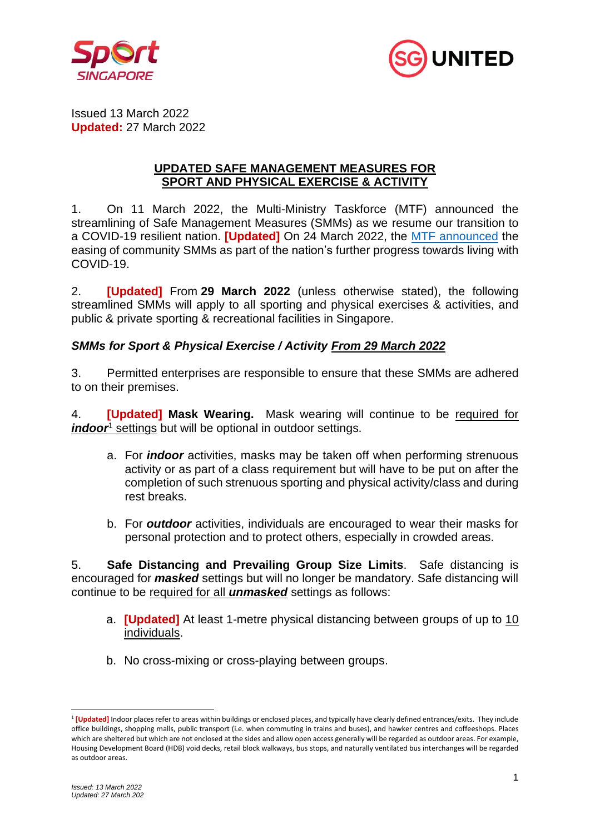



Issued 13 March 2022 **Updated:** 27 March 2022

### **UPDATED SAFE MANAGEMENT MEASURES FOR SPORT AND PHYSICAL EXERCISE & ACTIVITY**

1. On 11 March 2022, the Multi-Ministry Taskforce (MTF) announced the streamlining of Safe Management Measures (SMMs) as we resume our transition to a COVID-19 resilient nation. **[Updated]** On 24 March 2022, the [MTF announced](https://www.moh.gov.sg/news-highlights/details/easing-of-community-smms-and-border-measures) the easing of community SMMs as part of the nation's further progress towards living with COVID-19.

2. **[Updated]** From **29 March 2022** (unless otherwise stated), the following streamlined SMMs will apply to all sporting and physical exercises & activities, and public & private sporting & recreational facilities in Singapore.

# *SMMs for Sport & Physical Exercise / Activity From 29 March 2022*

3. Permitted enterprises are responsible to ensure that these SMMs are adhered to on their premises.

4. **[Updated] Mask Wearing.** Mask wearing will continue to be required for *indoor*<sup>1</sup> settings but will be optional in outdoor settings.

- a. For *indoor* activities, masks may be taken off when performing strenuous activity or as part of a class requirement but will have to be put on after the completion of such strenuous sporting and physical activity/class and during rest breaks.
- b. For *outdoor* activities, individuals are encouraged to wear their masks for personal protection and to protect others, especially in crowded areas.

5. **Safe Distancing and Prevailing Group Size Limits**. Safe distancing is encouraged for *masked* settings but will no longer be mandatory. Safe distancing will continue to be required for all *unmasked* settings as follows:

- a. **[Updated]** At least 1-metre physical distancing between groups of up to 10 individuals.
- b. No cross-mixing or cross-playing between groups.

<sup>&</sup>lt;sup>1</sup> [Updated] Indoor places refer to areas within buildings or enclosed places, and typically have clearly defined entrances/exits. They include office buildings, shopping malls, public transport (i.e. when commuting in trains and buses), and hawker centres and coffeeshops. Places which are sheltered but which are not enclosed at the sides and allow open access generally will be regarded as outdoor areas. For example, Housing Development Board (HDB) void decks, retail block walkways, bus stops, and naturally ventilated bus interchanges will be regarded as outdoor areas.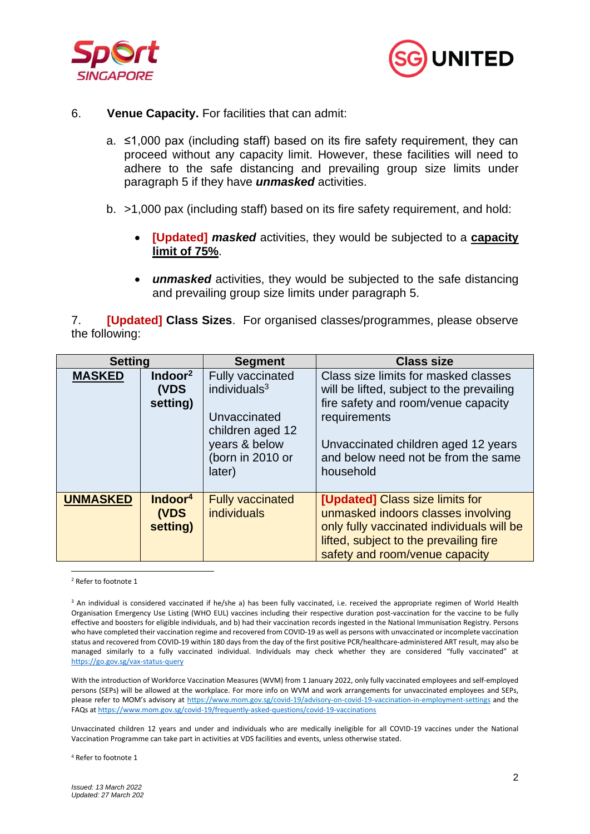



#### 6. **Venue Capacity.** For facilities that can admit:

- a. ≤1,000 pax (including staff) based on its fire safety requirement, they can proceed without any capacity limit. However, these facilities will need to adhere to the safe distancing and prevailing group size limits under paragraph 5 if they have *unmasked* activities.
- b. >1,000 pax (including staff) based on its fire safety requirement, and hold:
	- **[Updated]** *masked* activities, they would be subjected to a **capacity limit of 75%**.
	- *unmasked* activities, they would be subjected to the safe distancing and prevailing group size limits under paragraph 5.

7. **[Updated] Class Sizes**. For organised classes/programmes, please observe the following:

| <b>Setting</b>  |                                         | <b>Segment</b>                                                                                                         | <b>Class size</b>                                                                                                                                                                                                                   |
|-----------------|-----------------------------------------|------------------------------------------------------------------------------------------------------------------------|-------------------------------------------------------------------------------------------------------------------------------------------------------------------------------------------------------------------------------------|
| <b>MASKED</b>   | Indoor $2$<br>(VDS<br>setting)          | Fully vaccinated<br>individuals $3$<br>Unvaccinated<br>children aged 12<br>years & below<br>(born in 2010 or<br>later) | Class size limits for masked classes<br>will be lifted, subject to the prevailing<br>fire safety and room/venue capacity<br>requirements<br>Unvaccinated children aged 12 years<br>and below need not be from the same<br>household |
| <b>UNMASKED</b> | Indoor <sup>4</sup><br>(VDS<br>setting) | <b>Fully vaccinated</b><br><b>individuals</b>                                                                          | [Updated] Class size limits for<br>unmasked indoors classes involving<br>only fully vaccinated individuals will be<br>lifted, subject to the prevailing fire<br>safety and room/venue capacity                                      |

<sup>2</sup> Refer to footnote 1

<sup>3</sup> An individual is considered vaccinated if he/she a) has been fully vaccinated, i.e. received the appropriate regimen of World Health Organisation Emergency Use Listing (WHO EUL) vaccines including their respective duration post-vaccination for the vaccine to be fully effective and boosters for eligible individuals, and b) had their vaccination records ingested in the National Immunisation Registry. Persons who have completed their vaccination regime and recovered from COVID-19 as well as persons with unvaccinated or incomplete vaccination status and recovered from COVID-19 within 180 days from the day of the first positive PCR/healthcare-administered ART result, may also be managed similarly to a fully vaccinated individual. Individuals may check whether they are considered "fully vaccinated" at <https://go.gov.sg/vax-status-query>

With the introduction of Workforce Vaccination Measures (WVM) from 1 January 2022, only fully vaccinated employees and self-employed persons (SEPs) will be allowed at the workplace. For more info on WVM and work arrangements for unvaccinated employees and SEPs, please refer to MOM's advisory at <https://www.mom.gov.sg/covid-19/advisory-on-covid-19-vaccination-in-employment-settings> and the FAQs a[t https://www.mom.gov.sg/covid-19/frequently-asked-questions/covid-19-vaccinations](https://www.mom.gov.sg/covid-19/frequently-asked-questions/covid-19-vaccinations)

Unvaccinated children 12 years and under and individuals who are medically ineligible for all COVID-19 vaccines under the National Vaccination Programme can take part in activities at VDS facilities and events, unless otherwise stated.

<sup>4</sup> Refer to footnote 1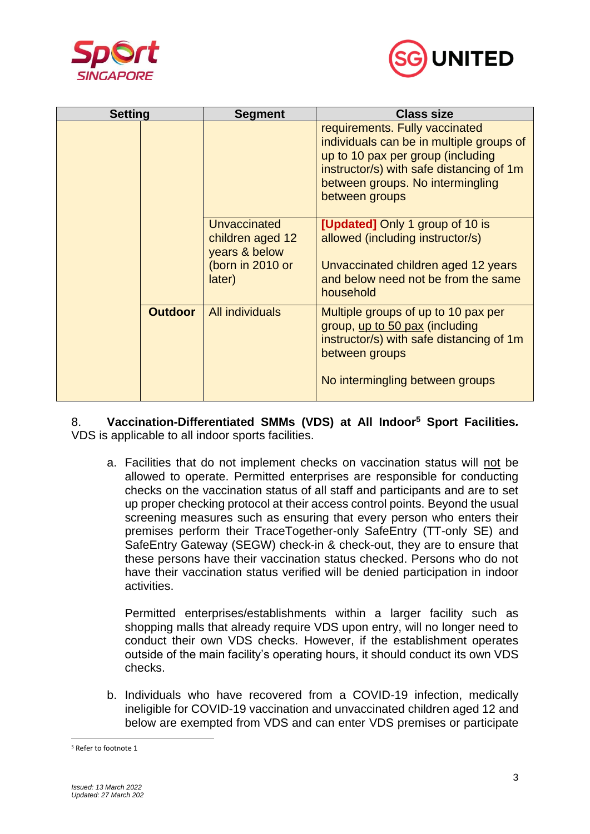



| <b>Setting</b> |                | <b>Segment</b>                                                                  | <b>Class size</b>                                                                                                                                                                                                 |
|----------------|----------------|---------------------------------------------------------------------------------|-------------------------------------------------------------------------------------------------------------------------------------------------------------------------------------------------------------------|
|                |                |                                                                                 | requirements. Fully vaccinated<br>individuals can be in multiple groups of<br>up to 10 pax per group (including<br>instructor/s) with safe distancing of 1m<br>between groups. No intermingling<br>between groups |
|                |                | Unvaccinated<br>children aged 12<br>years & below<br>(born in 2010 or<br>later) | <b>[Updated]</b> Only 1 group of 10 is<br>allowed (including instructor/s)<br>Unvaccinated children aged 12 years<br>and below need not be from the same<br>household                                             |
|                | <b>Outdoor</b> | <b>All individuals</b>                                                          | Multiple groups of up to 10 pax per<br>group, up to 50 pax (including<br>instructor/s) with safe distancing of 1m<br>between groups<br>No intermingling between groups                                            |

8. **Vaccination-Differentiated SMMs (VDS) at All Indoor<sup>5</sup> Sport Facilities***.*  VDS is applicable to all indoor sports facilities.

a. Facilities that do not implement checks on vaccination status will not be allowed to operate. Permitted enterprises are responsible for conducting checks on the vaccination status of all staff and participants and are to set up proper checking protocol at their access control points. Beyond the usual screening measures such as ensuring that every person who enters their premises perform their TraceTogether-only SafeEntry (TT-only SE) and SafeEntry Gateway (SEGW) check-in & check-out, they are to ensure that these persons have their vaccination status checked. Persons who do not have their vaccination status verified will be denied participation in indoor activities.

Permitted enterprises/establishments within a larger facility such as shopping malls that already require VDS upon entry, will no longer need to conduct their own VDS checks. However, if the establishment operates outside of the main facility's operating hours, it should conduct its own VDS checks.

b. Individuals who have recovered from a COVID-19 infection, medically ineligible for COVID-19 vaccination and unvaccinated children aged 12 and below are exempted from VDS and can enter VDS premises or participate

<sup>5</sup> Refer to footnote 1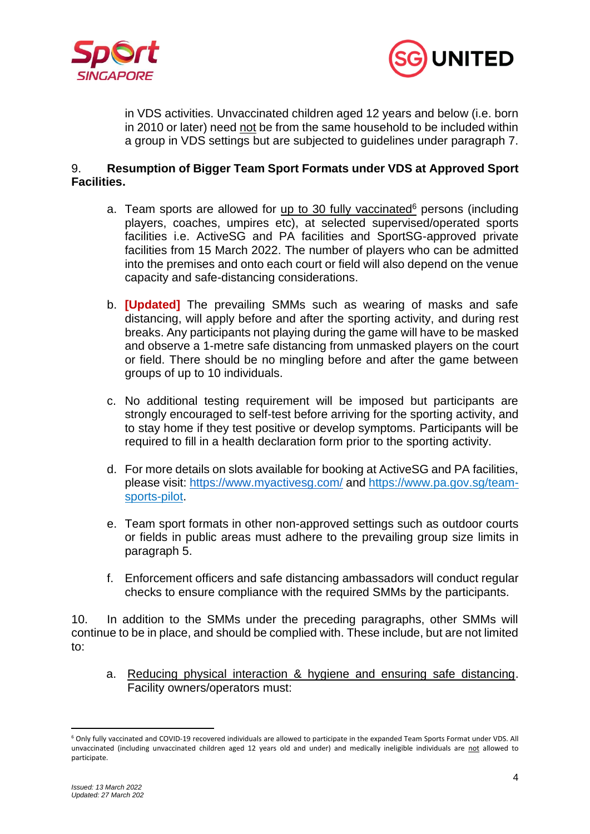



in VDS activities. Unvaccinated children aged 12 years and below (i.e. born in 2010 or later) need not be from the same household to be included within a group in VDS settings but are subjected to guidelines under paragraph 7.

## 9. **Resumption of Bigger Team Sport Formats under VDS at Approved Sport Facilities.**

- a. Team sports are allowed for up to 30 fully vaccinated $6$  persons (including players, coaches, umpires etc), at selected supervised/operated sports facilities i.e. ActiveSG and PA facilities and SportSG-approved private facilities from 15 March 2022. The number of players who can be admitted into the premises and onto each court or field will also depend on the venue capacity and safe-distancing considerations.
- b. **[Updated]** The prevailing SMMs such as wearing of masks and safe distancing, will apply before and after the sporting activity, and during rest breaks. Any participants not playing during the game will have to be masked and observe a 1-metre safe distancing from unmasked players on the court or field. There should be no mingling before and after the game between groups of up to 10 individuals.
- c. No additional testing requirement will be imposed but participants are strongly encouraged to self-test before arriving for the sporting activity, and to stay home if they test positive or develop symptoms. Participants will be required to fill in a health declaration form prior to the sporting activity.
- d. For more details on slots available for booking at ActiveSG and PA facilities, please visit: [https://www.myactivesg.com/](https://www.myactivesg.com/Facilities/Sport-Centres/Pilot-Resumption-of-Team-Sports-under-VDSplus-Framework) and [https://www.pa.gov.sg/team](https://www.pa.gov.sg/team-sports-pilot)[sports-pilot.](https://www.pa.gov.sg/team-sports-pilot)
- e. Team sport formats in other non-approved settings such as outdoor courts or fields in public areas must adhere to the prevailing group size limits in paragraph 5.
- f. Enforcement officers and safe distancing ambassadors will conduct regular checks to ensure compliance with the required SMMs by the participants.

10. In addition to the SMMs under the preceding paragraphs, other SMMs will continue to be in place, and should be complied with. These include, but are not limited to:

a. Reducing physical interaction & hygiene and ensuring safe distancing. Facility owners/operators must:

<sup>6</sup> Only fully vaccinated and COVID-19 recovered individuals are allowed to participate in the expanded Team Sports Format under VDS. All unvaccinated (including unvaccinated children aged 12 years old and under) and medically ineligible individuals are not allowed to participate.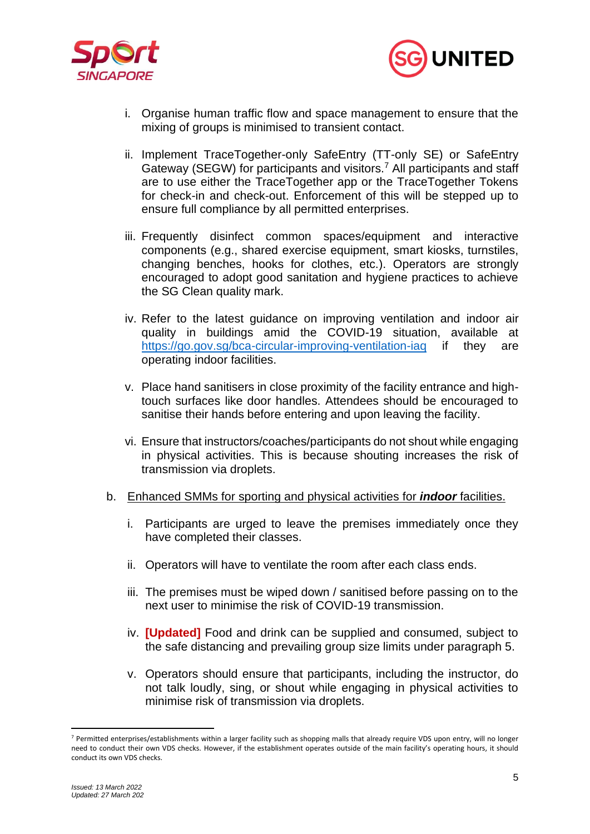



- i. Organise human traffic flow and space management to ensure that the mixing of groups is minimised to transient contact.
- ii. Implement TraceTogether-only SafeEntry (TT-only SE) or SafeEntry Gateway (SEGW) for participants and visitors.<sup>7</sup> All participants and staff are to use either the TraceTogether app or the TraceTogether Tokens for check-in and check-out. Enforcement of this will be stepped up to ensure full compliance by all permitted enterprises.
- iii. Frequently disinfect common spaces/equipment and interactive components (e.g., shared exercise equipment, smart kiosks, turnstiles, changing benches, hooks for clothes, etc.). Operators are strongly encouraged to adopt good sanitation and hygiene practices to achieve the SG Clean quality mark.
- iv. Refer to the latest guidance on improving ventilation and indoor air quality in buildings amid the COVID-19 situation, available at https://go.gov.sg/bca-circular-improving-ventilation-iag if they are operating indoor facilities.
- v. Place hand sanitisers in close proximity of the facility entrance and hightouch surfaces like door handles. Attendees should be encouraged to sanitise their hands before entering and upon leaving the facility.
- vi. Ensure that instructors/coaches/participants do not shout while engaging in physical activities. This is because shouting increases the risk of transmission via droplets.
- b. Enhanced SMMs for sporting and physical activities for *indoor* facilities.
	- i. Participants are urged to leave the premises immediately once they have completed their classes.
	- ii. Operators will have to ventilate the room after each class ends.
	- iii. The premises must be wiped down / sanitised before passing on to the next user to minimise the risk of COVID-19 transmission.
	- iv. **[Updated]** Food and drink can be supplied and consumed, subject to the safe distancing and prevailing group size limits under paragraph 5.
	- v. Operators should ensure that participants, including the instructor, do not talk loudly, sing, or shout while engaging in physical activities to minimise risk of transmission via droplets.

<sup>7</sup> Permitted enterprises/establishments within a larger facility such as shopping malls that already require VDS upon entry, will no longer need to conduct their own VDS checks. However, if the establishment operates outside of the main facility's operating hours, it should conduct its own VDS checks.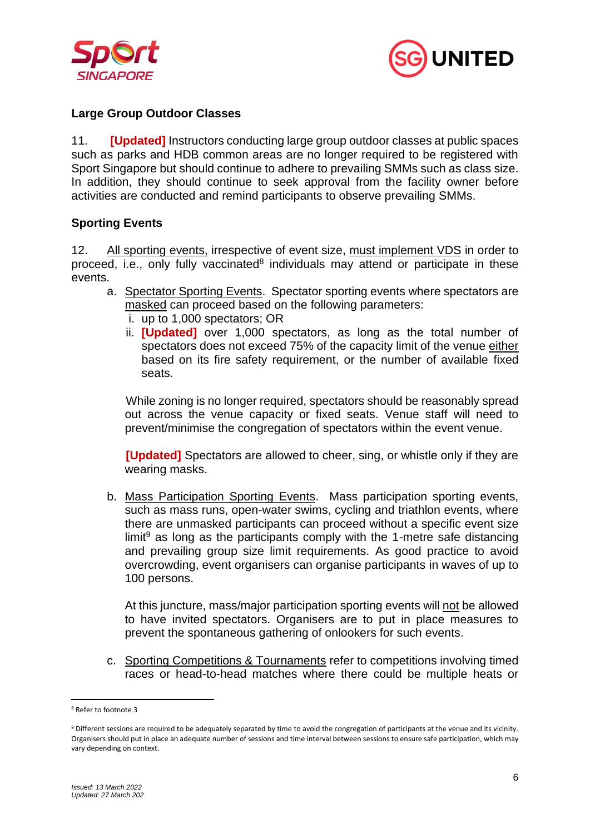



### **Large Group Outdoor Classes**

11. **[Updated]** Instructors conducting large group outdoor classes at public spaces such as parks and HDB common areas are no longer required to be registered with Sport Singapore but should continue to adhere to prevailing SMMs such as class size. In addition, they should continue to seek approval from the facility owner before activities are conducted and remind participants to observe prevailing SMMs.

### **Sporting Events**

12. All sporting events, irrespective of event size, must implement VDS in order to proceed, i.e., only fully vaccinated<sup>8</sup> individuals may attend or participate in these events.

- a. Spectator Sporting Events. Spectator sporting events where spectators are masked can proceed based on the following parameters:
	- i. up to 1,000 spectators; OR
	- ii. **[Updated]** over 1,000 spectators, as long as the total number of spectators does not exceed 75% of the capacity limit of the venue either based on its fire safety requirement, or the number of available fixed seats.

While zoning is no longer required, spectators should be reasonably spread out across the venue capacity or fixed seats. Venue staff will need to prevent/minimise the congregation of spectators within the event venue.

**[Updated]** Spectators are allowed to cheer, sing, or whistle only if they are wearing masks.

b. Mass Participation Sporting Events. Mass participation sporting events, such as mass runs, open-water swims, cycling and triathlon events, where there are unmasked participants can proceed without a specific event size limit $9$  as long as the participants comply with the 1-metre safe distancing and prevailing group size limit requirements. As good practice to avoid overcrowding, event organisers can organise participants in waves of up to 100 persons.

At this juncture, mass/major participation sporting events will not be allowed to have invited spectators. Organisers are to put in place measures to prevent the spontaneous gathering of onlookers for such events.

c. Sporting Competitions & Tournaments refer to competitions involving timed races or head-to-head matches where there could be multiple heats or

<sup>8</sup> Refer to footnote 3

<sup>9</sup> Different sessions are required to be adequately separated by time to avoid the congregation of participants at the venue and its vicinity. Organisers should put in place an adequate number of sessions and time interval between sessions to ensure safe participation, which may vary depending on context.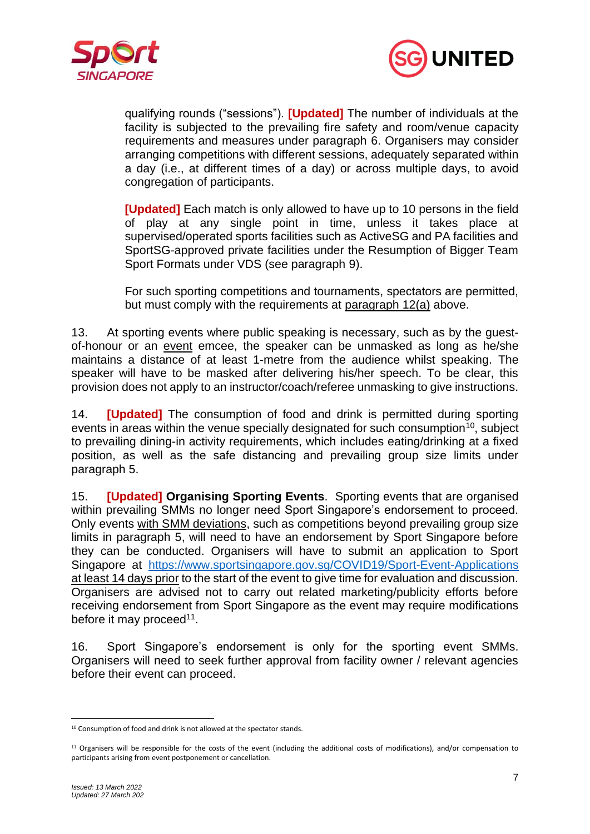



qualifying rounds ("sessions"). **[Updated]** The number of individuals at the facility is subjected to the prevailing fire safety and room/venue capacity requirements and measures under paragraph 6. Organisers may consider arranging competitions with different sessions, adequately separated within a day (i.e., at different times of a day) or across multiple days, to avoid congregation of participants.

**[Updated]** Each match is only allowed to have up to 10 persons in the field of play at any single point in time, unless it takes place at supervised/operated sports facilities such as ActiveSG and PA facilities and SportSG-approved private facilities under the Resumption of Bigger Team Sport Formats under VDS (see paragraph 9).

For such sporting competitions and tournaments, spectators are permitted, but must comply with the requirements at paragraph 12(a) above.

13. At sporting events where public speaking is necessary, such as by the guestof-honour or an event emcee, the speaker can be unmasked as long as he/she maintains a distance of at least 1-metre from the audience whilst speaking. The speaker will have to be masked after delivering his/her speech. To be clear, this provision does not apply to an instructor/coach/referee unmasking to give instructions.

14. **[Updated]** The consumption of food and drink is permitted during sporting events in areas within the venue specially designated for such consumption<sup> $10$ </sup>, subject to prevailing dining-in activity requirements, which includes eating/drinking at a fixed position, as well as the safe distancing and prevailing group size limits under paragraph 5.

15. **[Updated] Organising Sporting Events**. Sporting events that are organised within prevailing SMMs no longer need Sport Singapore's endorsement to proceed. Only events with SMM deviations, such as competitions beyond prevailing group size limits in paragraph 5, will need to have an endorsement by Sport Singapore before they can be conducted. Organisers will have to submit an application to Sport Singapore at <https://www.sportsingapore.gov.sg/COVID19/Sport-Event-Applications> at least 14 days prior to the start of the event to give time for evaluation and discussion. Organisers are advised not to carry out related marketing/publicity efforts before receiving endorsement from Sport Singapore as the event may require modifications before it may proceed<sup>11</sup>.

16. Sport Singapore's endorsement is only for the sporting event SMMs. Organisers will need to seek further approval from facility owner / relevant agencies before their event can proceed.

<sup>&</sup>lt;sup>10</sup> Consumption of food and drink is not allowed at the spectator stands.

 $11$  Organisers will be responsible for the costs of the event (including the additional costs of modifications), and/or compensation to participants arising from event postponement or cancellation.